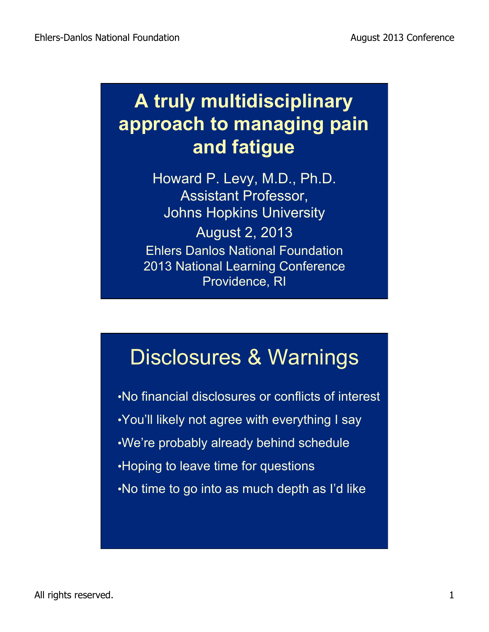#### **A truly multidisciplinary approach to managing pain and fatigue**

Howard P. Levy, M.D., Ph.D. Assistant Professor, Johns Hopkins University August 2, 2013 Ehlers Danlos National Foundation 2013 National Learning Conference Providence, RI

#### Disclosures & Warnings

•No financial disclosures or conflicts of interest •You'll likely not agree with everything I say •We're probably already behind schedule •Hoping to leave time for questions •No time to go into as much depth as I'd like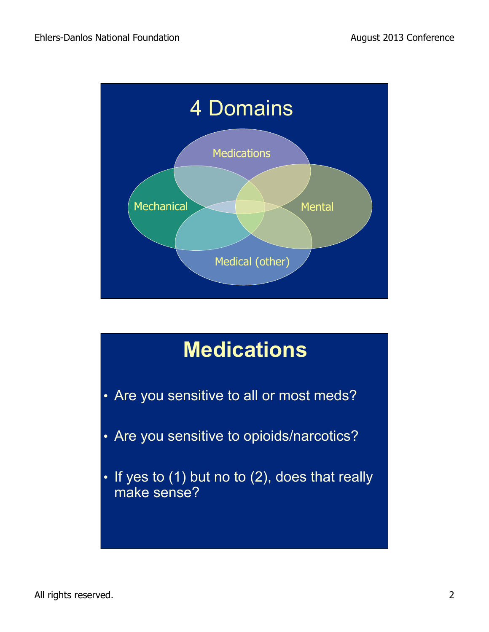

# **Medications**  • Are you sensitive to all or most meds? • Are you sensitive to opioids/narcotics?  $\cdot$  If yes to (1) but no to (2), does that really make sense?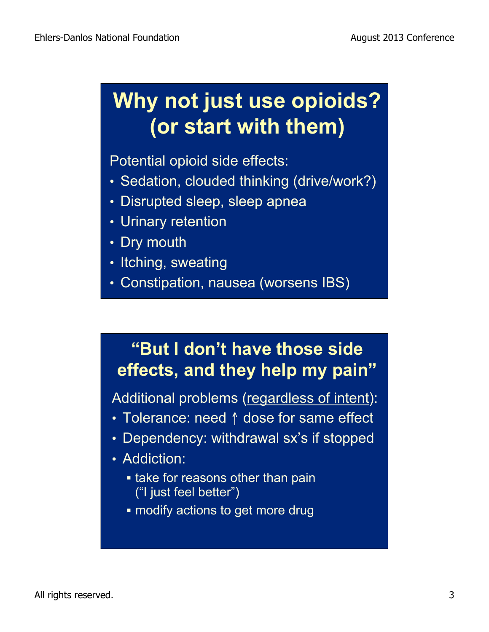#### **Why not just use opioids? (or start with them)**

Potential opioid side effects:

- Sedation, clouded thinking (drive/work?)
- Disrupted sleep, sleep apnea
- Urinary retention
- Dry mouth
- Itching, sweating
- Constipation, nausea (worsens IBS)

#### **"But I don't have those side effects, and they help my pain"**

Additional problems (regardless of intent):

- Tolerance: need ↑ dose for same effect
- Dependency: withdrawal sx's if stopped
- Addiction:
	- take for reasons other than pain ("I just feel better")
	- **modify actions to get more drug**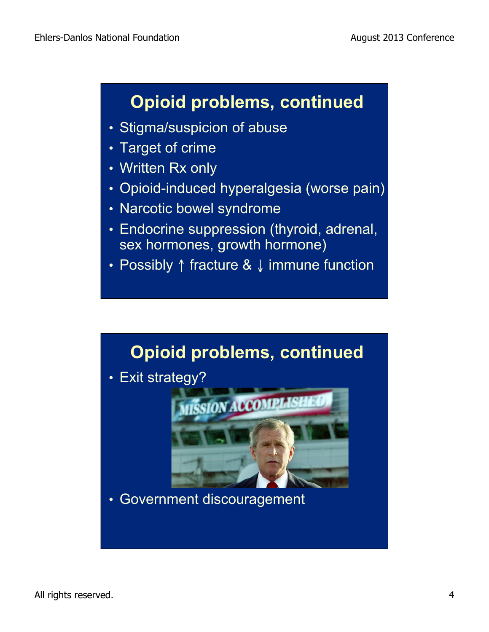#### **Opioid problems, continued**

- Stigma/suspicion of abuse
- Target of crime
- Written Rx only
- Opioid-induced hyperalgesia (worse pain)
- Narcotic bowel syndrome
- Endocrine suppression (thyroid, adrenal, sex hormones, growth hormone)
- Possibly ↑ fracture & ↓ immune function

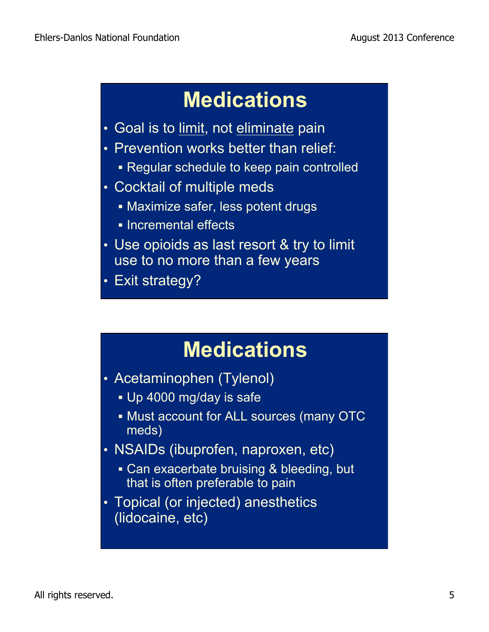## **Medications**

- Goal is to limit, not eliminate pain
- Prevention works better than relief:
	- ! Regular schedule to keep pain controlled
- Cocktail of multiple meds
	- **. Maximize safer, less potent drugs**
	- **.** Incremental effects
- Use opioids as last resort & try to limit use to no more than a few years
- Exit strategy?

#### **Medications**

- Acetaminophen (Tylenol)
	- **.** Up 4000 mg/day is safe
	- **. Must account for ALL sources (many OTC** meds)
- NSAIDs (ibuprofen, naproxen, etc)
	- . Can exacerbate bruising & bleeding, but that is often preferable to pain
- Topical (or injected) anesthetics (lidocaine, etc)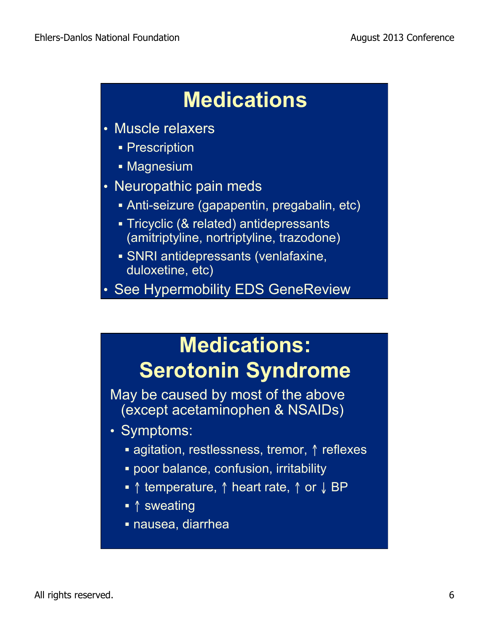## **Medications**

- Muscle relaxers
	- **Prescription**
	- **Magnesium**
- Neuropathic pain meds
	- ! Anti-seizure (gapapentin, pregabalin, etc)
	- ! Tricyclic (& related) antidepressants (amitriptyline, nortriptyline, trazodone)
	- ! SNRI antidepressants (venlafaxine, duloxetine, etc)

• See Hypermobility EDS GeneReview

## **Medications: Serotonin Syndrome**

May be caused by most of the above (except acetaminophen & NSAIDs)

- Symptoms:
	- ! agitation, restlessness, tremor, ↑ reflexes
	- ! poor balance, confusion, irritability
	- ! ↑ temperature, ↑ heart rate, ↑ or ↓ BP
	- ↑ sweating
	- ! nausea, diarrhea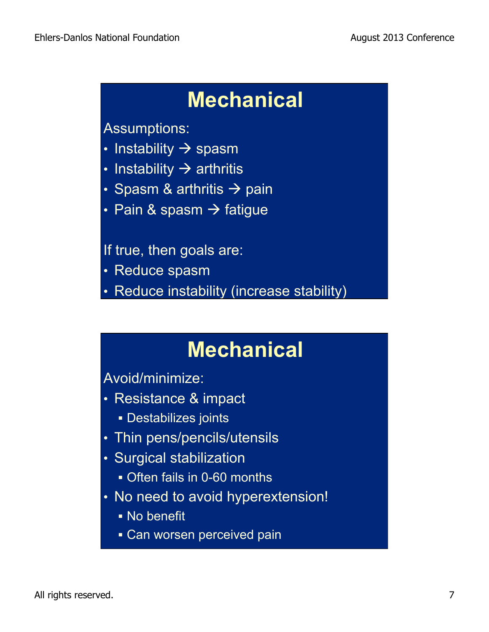#### **Mechanical**

Assumptions:

- Instability  $\rightarrow$  spasm
- Instability  $\rightarrow$  arthritis
- Spasm & arthritis  $\rightarrow$  pain
- Pain & spasm  $\rightarrow$  fatigue

If true, then goals are:

- Reduce spasm
- Reduce instability (increase stability)

#### **Mechanical**

Avoid/minimize:

- Resistance & impact
	- ! Destabilizes joints
- Thin pens/pencils/utensils
- Surgical stabilization
	- ! Often fails in 0-60 months
- No need to avoid hyperextension!
	- ! No benefit
	- **Can worsen perceived pain**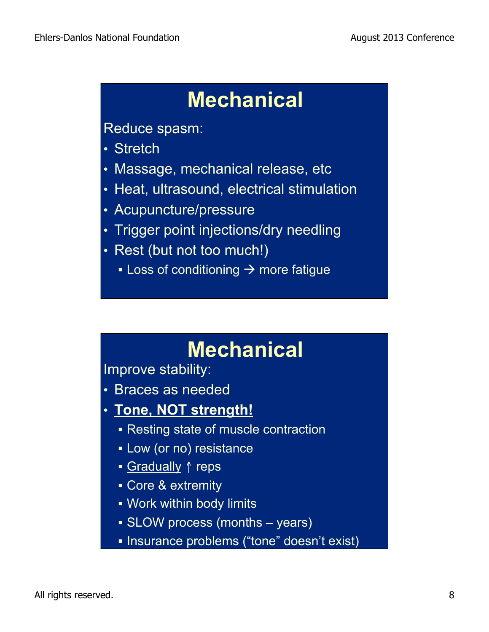#### **Mechanical**

Reduce spasm:

- Stretch
- Massage, mechanical release, etc
- Heat, ultrasound, electrical stimulation
- Acupuncture/pressure
- Trigger point injections/dry needling
- Rest (but not too much!)
	- **Example 1** Loss of conditioning  $\rightarrow$  more fatigue

#### **Mechanical**

Improve stability:

- Braces as needed
- **Tone, NOT strength!**
	- ! Resting state of muscle contraction
	- **.** Low (or no) resistance
	- Gradually ↑ reps
	- Core & extremity
	- **.** Work within body limits
	- ! SLOW process (months years)
	- ! Insurance problems ("tone" doesn't exist)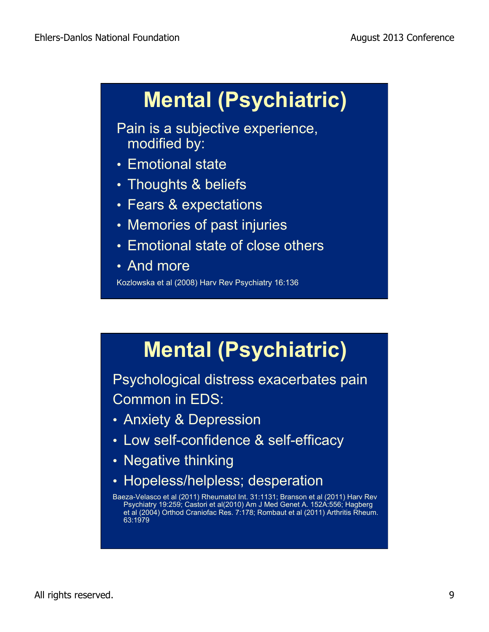# **Mental (Psychiatric)**

Pain is a subjective experience, modified by:

- Emotional state
- Thoughts & beliefs
- Fears & expectations
- Memories of past injuries
- Emotional state of close others
- And more

Kozlowska et al (2008) Harv Rev Psychiatry 16:136

# **Mental (Psychiatric)**

Psychological distress exacerbates pain Common in EDS:

- Anxiety & Depression
- Low self-confidence & self-efficacy
- Negative thinking
- Hopeless/helpless; desperation

Baeza-Velasco et al (2011) Rheumatol Int. 31:1131; Branson et al (2011) Harv Rev Psychiatry 19:259; Castori et al(2010) Am J Med Genet A. 152A:556; Hagberg et al (2004) Orthod Craniofac Res. 7:178; Rombaut et al (2011) Arthritis Rheum. 63:1979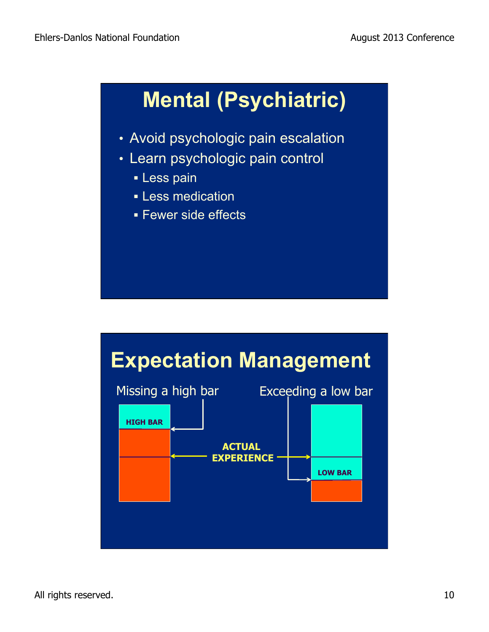# **Mental (Psychiatric)**

- Avoid psychologic pain escalation
- Learn psychologic pain control
	- **Less pain**
	- **Less** medication
	- **E** Fewer side effects

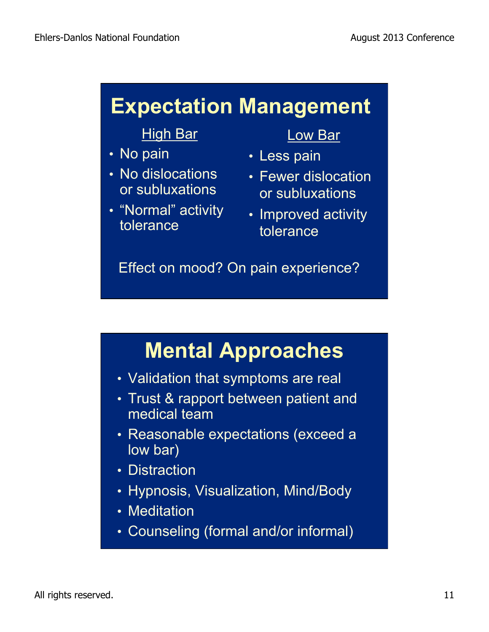#### **Expectation Management**

#### High Bar

- No pain
- No dislocations or subluxations
- "Normal" activity tolerance

#### Low Bar

- Less pain
- Fewer dislocation or subluxations
- Improved activity tolerance

Effect on mood? On pain experience?

## **Mental Approaches**

- Validation that symptoms are real
- Trust & rapport between patient and medical team
- Reasonable expectations (exceed a low bar)
- Distraction
- Hypnosis, Visualization, Mind/Body
- Meditation
- Counseling (formal and/or informal)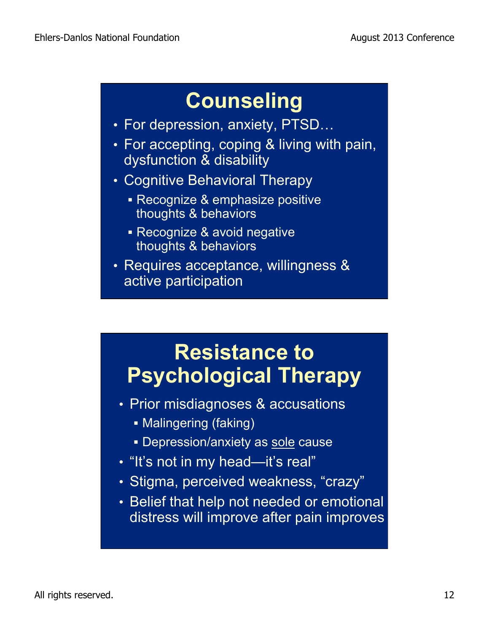## **Counseling**

- For depression, anxiety, PTSD…
- For accepting, coping & living with pain, dysfunction & disability
- Cognitive Behavioral Therapy
	- **Execognize & emphasize positive** thoughts & behaviors
	- ! Recognize & avoid negative thoughts & behaviors
- Requires acceptance, willingness & active participation

#### **Resistance to Psychological Therapy**

- Prior misdiagnoses & accusations
	- **. Malingering (faking)**
	- **.** Depression/anxiety as sole cause
- "It's not in my head—it's real"
- Stigma, perceived weakness, "crazy"
- Belief that help not needed or emotional distress will improve after pain improves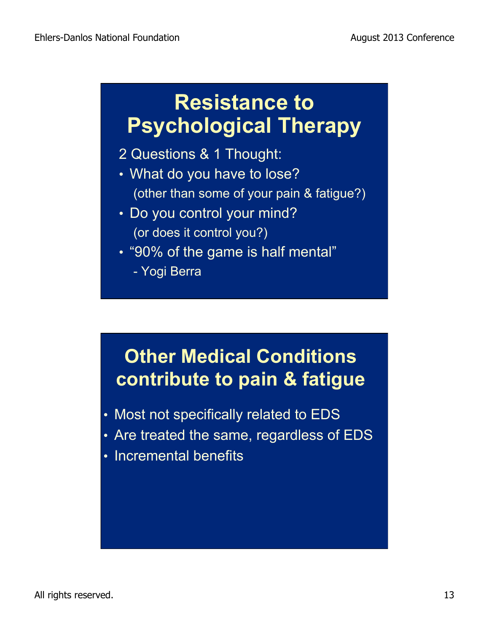#### **Resistance to Psychological Therapy**

#### 2 Questions & 1 Thought:

- What do you have to lose? (other than some of your pain & fatigue?)
- Do you control your mind? (or does it control you?)
- "90% of the game is half mental"
	- Yogi Berra

#### **Other Medical Conditions contribute to pain & fatigue**

- Most not specifically related to EDS
- Are treated the same, regardless of EDS
- Incremental benefits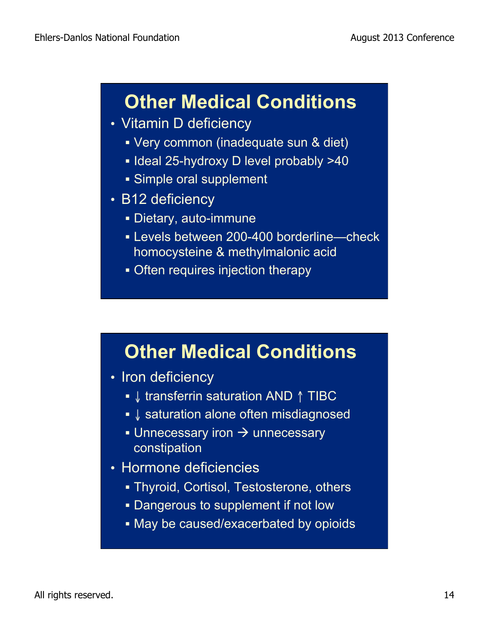#### **Other Medical Conditions**

- Vitamin D deficiency
	- ! Very common (inadequate sun & diet)
	- ! Ideal 25-hydroxy D level probably >40
	- **.** Simple oral supplement
- B12 deficiency
	- ! Dietary, auto-immune
	- **.** Levels between 200-400 borderline—check homocysteine & methylmalonic acid
	- Often requires injection therapy

#### **Other Medical Conditions**

- Iron deficiency
	- ! ↓ transferrin saturation AND ↑ TIBC
	- ↓ saturation alone often misdiagnosed
	- $\bullet$  Unnecessary iron  $\rightarrow$  unnecessary constipation
- Hormone deficiencies
	- **. Thyroid, Cortisol, Testosterone, others**
	- **.** Dangerous to supplement if not low
	- ! May be caused/exacerbated by opioids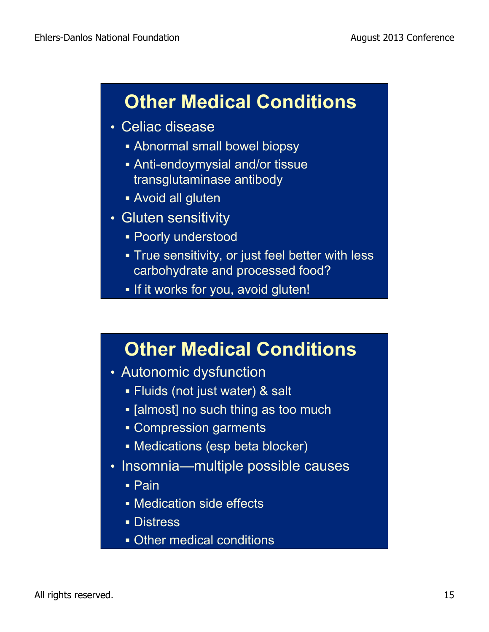#### **Other Medical Conditions**

- Celiac disease
	- ! Abnormal small bowel biopsy
	- ! Anti-endoymysial and/or tissue transglutaminase antibody
	- **Avoid all gluten**
- Gluten sensitivity
	- **.** Poorly understood
	- **True sensitivity, or just feel better with less** carbohydrate and processed food?
	- . If it works for you, avoid gluten!

#### **Other Medical Conditions**

- Autonomic dysfunction
	- ! Fluids (not just water) & salt
	- **.** [almost] no such thing as too much
	- **Example School** garments
	- ! Medications (esp beta blocker)
- Insomnia—multiple possible causes
	- ! Pain
	- **.** Medication side effects
	- **Distress**
	- **.** Other medical conditions